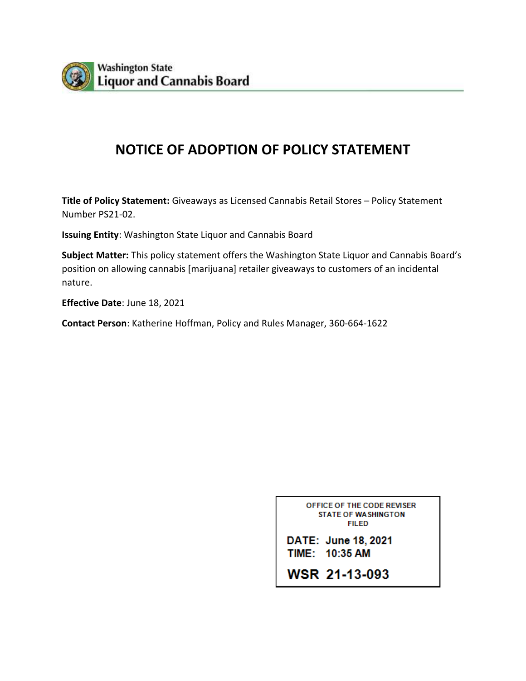

## **NOTICE OF ADOPTION OF POLICY STATEMENT**

**Title of Policy Statement:** Giveaways as Licensed Cannabis Retail Stores – Policy Statement Number PS21-02.

**Issuing Entity**: Washington State Liquor and Cannabis Board

**Subject Matter:** This policy statement offers the Washington State Liquor and Cannabis Board's position on allowing cannabis [marijuana] retailer giveaways to customers of an incidental nature.

**Effective Date**: June 18, 2021

**Contact Person**: Katherine Hoffman, Policy and Rules Manager, 360-664-1622

OFFICE OF THE CODE REVISER **STATE OF WASHINGTON FILED** 

DATE: June 18, 2021 TIME: 10:35 AM

WSR 21-13-093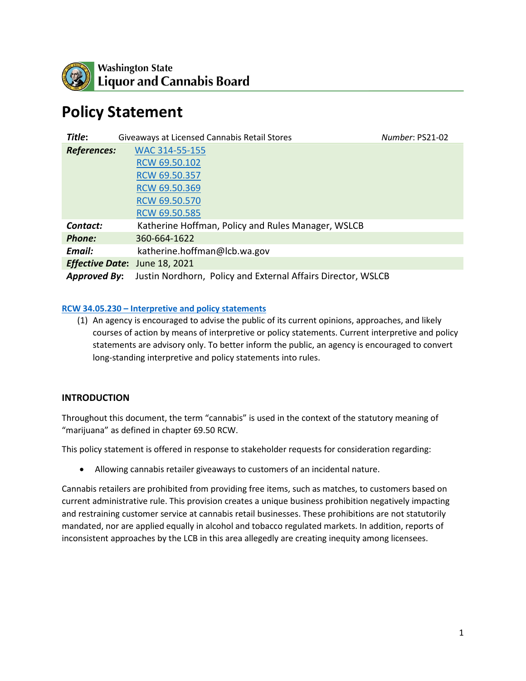

# **Policy Statement**

| Title:              | Giveaways at Licensed Cannabis Retail Stores                 | Number: PS21-02 |
|---------------------|--------------------------------------------------------------|-----------------|
| <b>References:</b>  | WAC 314-55-155                                               |                 |
|                     | RCW 69.50.102                                                |                 |
|                     | RCW 69.50.357                                                |                 |
|                     | RCW 69.50.369                                                |                 |
|                     | RCW 69.50.570                                                |                 |
|                     | RCW 69.50.585                                                |                 |
| Contact:            | Katherine Hoffman, Policy and Rules Manager, WSLCB           |                 |
| <b>Phone:</b>       | 360-664-1622                                                 |                 |
| Email:              | katherine.hoffman@lcb.wa.gov                                 |                 |
|                     | <b>Effective Date:</b> June 18, 2021                         |                 |
| <b>Approved By:</b> | Justin Nordhorn, Policy and External Affairs Director, WSLCB |                 |

#### **RCW 34.05.230 – [Interpretive and policy statements](https://app.leg.wa.gov/rcw/default.aspx?cite=34.05.230)**

(1) An agency is encouraged to advise the public of its current opinions, approaches, and likely courses of action by means of interpretive or policy statements. Current interpretive and policy statements are advisory only. To better inform the public, an agency is encouraged to convert long-standing interpretive and policy statements into rules.

#### **INTRODUCTION**

Throughout this document, the term "cannabis" is used in the context of the statutory meaning of "marijuana" as defined in chapter 69.50 RCW.

This policy statement is offered in response to stakeholder requests for consideration regarding:

• Allowing cannabis retailer giveaways to customers of an incidental nature.

Cannabis retailers are prohibited from providing free items, such as matches, to customers based on current administrative rule. This provision creates a unique business prohibition negatively impacting and restraining customer service at cannabis retail businesses. These prohibitions are not statutorily mandated, nor are applied equally in alcohol and tobacco regulated markets. In addition, reports of inconsistent approaches by the LCB in this area allegedly are creating inequity among licensees.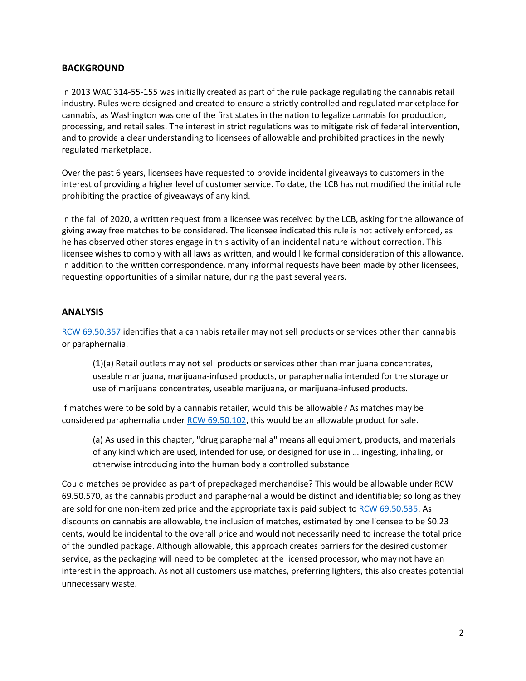#### **BACKGROUND**

In 2013 WAC 314-55-155 was initially created as part of the rule package regulating the cannabis retail industry. Rules were designed and created to ensure a strictly controlled and regulated marketplace for cannabis, as Washington was one of the first states in the nation to legalize cannabis for production, processing, and retail sales. The interest in strict regulations was to mitigate risk of federal intervention, and to provide a clear understanding to licensees of allowable and prohibited practices in the newly regulated marketplace.

Over the past 6 years, licensees have requested to provide incidental giveaways to customers in the interest of providing a higher level of customer service. To date, the LCB has not modified the initial rule prohibiting the practice of giveaways of any kind.

In the fall of 2020, a written request from a licensee was received by the LCB, asking for the allowance of giving away free matches to be considered. The licensee indicated this rule is not actively enforced, as he has observed other stores engage in this activity of an incidental nature without correction. This licensee wishes to comply with all laws as written, and would like formal consideration of this allowance. In addition to the written correspondence, many informal requests have been made by other licensees, requesting opportunities of a similar nature, during the past several years.

#### **ANALYSIS**

[RCW 69.50.357](https://app.leg.wa.gov/rcw/default.aspx?cite=69.50.357) identifies that a cannabis retailer may not sell products or services other than cannabis or paraphernalia.

(1)(a) Retail outlets may not sell products or services other than marijuana concentrates, useable marijuana, marijuana-infused products, or paraphernalia intended for the storage or use of marijuana concentrates, useable marijuana, or marijuana-infused products.

If matches were to be sold by a cannabis retailer, would this be allowable? As matches may be considered paraphernalia under [RCW 69.50.102,](https://app.leg.wa.gov/rcw/default.aspx?cite=69.50.102) this would be an allowable product for sale.

(a) As used in this chapter, "drug paraphernalia" means all equipment, products, and materials of any kind which are used, intended for use, or designed for use in … ingesting, inhaling, or otherwise introducing into the human body a controlled substance

Could matches be provided as part of prepackaged merchandise? This would be allowable under RCW 69.50.570, as the cannabis product and paraphernalia would be distinct and identifiable; so long as they are sold for one non-itemized price and the appropriate tax is paid subject to [RCW 69.50.535.](https://app.leg.wa.gov/RCW/default.aspx?cite=69.50.535) As discounts on cannabis are allowable, the inclusion of matches, estimated by one licensee to be \$0.23 cents, would be incidental to the overall price and would not necessarily need to increase the total price of the bundled package. Although allowable, this approach creates barriers for the desired customer service, as the packaging will need to be completed at the licensed processor, who may not have an interest in the approach. As not all customers use matches, preferring lighters, this also creates potential unnecessary waste.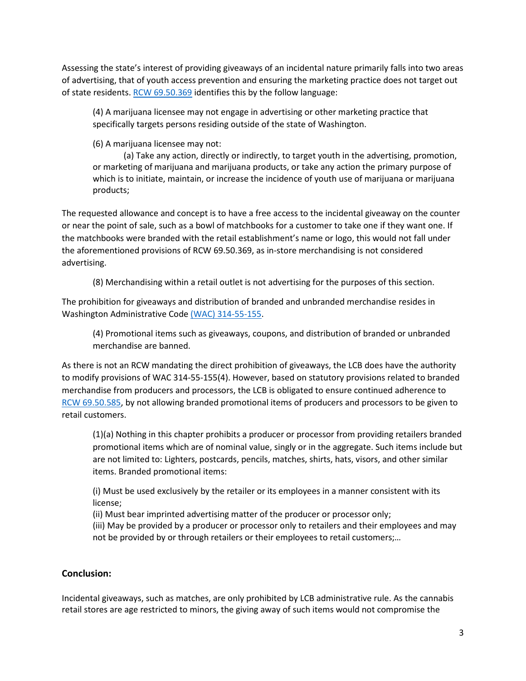Assessing the state's interest of providing giveaways of an incidental nature primarily falls into two areas of advertising, that of youth access prevention and ensuring the marketing practice does not target out of state residents. [RCW 69.50.369](https://app.leg.wa.gov/rcw/default.aspx?cite=69.50.369) identifies this by the follow language:

(4) A marijuana licensee may not engage in advertising or other marketing practice that specifically targets persons residing outside of the state of Washington.

(6) A marijuana licensee may not:

(a) Take any action, directly or indirectly, to target youth in the advertising, promotion, or marketing of marijuana and marijuana products, or take any action the primary purpose of which is to initiate, maintain, or increase the incidence of youth use of marijuana or marijuana products;

The requested allowance and concept is to have a free access to the incidental giveaway on the counter or near the point of sale, such as a bowl of matchbooks for a customer to take one if they want one. If the matchbooks were branded with the retail establishment's name or logo, this would not fall under the aforementioned provisions of RCW 69.50.369, as in-store merchandising is not considered advertising.

(8) Merchandising within a retail outlet is not advertising for the purposes of this section.

The prohibition for giveaways and distribution of branded and unbranded merchandise resides in Washington Administrative Code [\(WAC\) 314-55-155.](https://apps.leg.wa.gov/wac/default.aspx?cite=314-55-155)

(4) Promotional items such as giveaways, coupons, and distribution of branded or unbranded merchandise are banned.

As there is not an RCW mandating the direct prohibition of giveaways, the LCB does have the authority to modify provisions of WAC 314-55-155(4). However, based on statutory provisions related to branded merchandise from producers and processors, the LCB is obligated to ensure continued adherence to [RCW 69.50.585,](https://app.leg.wa.gov/RCW/default.aspx?cite=69.50.585) by not allowing branded promotional items of producers and processors to be given to retail customers.

(1)(a) Nothing in this chapter prohibits a producer or processor from providing retailers branded promotional items which are of nominal value, singly or in the aggregate. Such items include but are not limited to: Lighters, postcards, pencils, matches, shirts, hats, visors, and other similar items. Branded promotional items:

(i) Must be used exclusively by the retailer or its employees in a manner consistent with its license;

(ii) Must bear imprinted advertising matter of the producer or processor only;

(iii) May be provided by a producer or processor only to retailers and their employees and may not be provided by or through retailers or their employees to retail customers;…

### **Conclusion:**

Incidental giveaways, such as matches, are only prohibited by LCB administrative rule. As the cannabis retail stores are age restricted to minors, the giving away of such items would not compromise the